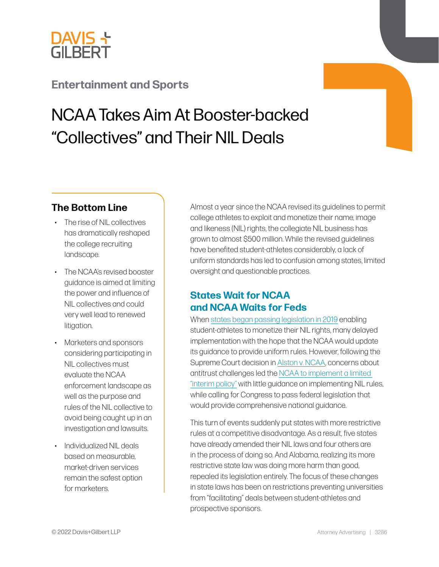

# **[Entertainment and Sports](https://www.dglaw.com/services/intellectual-property-media/entertainment-and-sports/)**

# NCAA Takes Aim At Booster-backed "Collectives" and Their NIL Deals

#### **The Bottom Line**

- The rise of NIL collectives has dramatically reshaped the college recruiting landscape.
- The NCAA's revised booster guidance is aimed at limiting the power and influence of NIL collectives and could very well lead to renewed litigation.
- Marketers and sponsors considering participating in NIL collectives must evaluate the NCAA enforcement landscape as well as the purpose and rules of the NIL collective to avoid being caught up in an investigation and lawsuits.
- Individualized NIL deals based on measurable, market-driven services remain the safest option for marketers.

Almost a year since the NCAA revised its guidelines to permit college athletes to exploit and monetize their name, image and likeness (NIL) rights, the collegiate NIL business has grown to almost \$500 million. While the revised guidelines have benefited student-athletes considerably, a lack of uniform standards has led to confusion among states, limited oversight and questionable practices.

#### **States Wait for NCAA and NCAA Waits for Feds**

When [states began passing legislation in 2019](https://www.dglaw.com/california-clears-the-way-for-college-athletes-to-get-their-fair-share-of-licensing-pie/) enabling student-athletes to monetize their NIL rights, many delayed implementation with the hope that the NCAA would update its guidance to provide uniform rules. However, following the Supreme Court decision in [Alston v. NCAA,](https://www.supremecourt.gov/opinions/20pdf/20-512_gfbh.pdf) concerns about antitrust challenges led the [NCAA to implement a limited](https://www.dglaw.com/july-1st-marks-first-day-of-school-for-student-athletes-seeking-to-exploit-nil-rights/)  ["interim policy"](https://www.dglaw.com/july-1st-marks-first-day-of-school-for-student-athletes-seeking-to-exploit-nil-rights/) with little guidance on implementing NIL rules, while calling for Congress to pass federal legislation that would provide comprehensive national guidance.

This turn of events suddenly put states with more restrictive rules at a competitive disadvantage. As a result, five states have already amended their NIL laws and four others are in the process of doing so. And Alabama, realizing its more restrictive state law was doing more harm than good, repealed its legislation entirely. The focus of these changes in state laws has been on restrictions preventing universities from "facilitating" deals between student-athletes and prospective sponsors.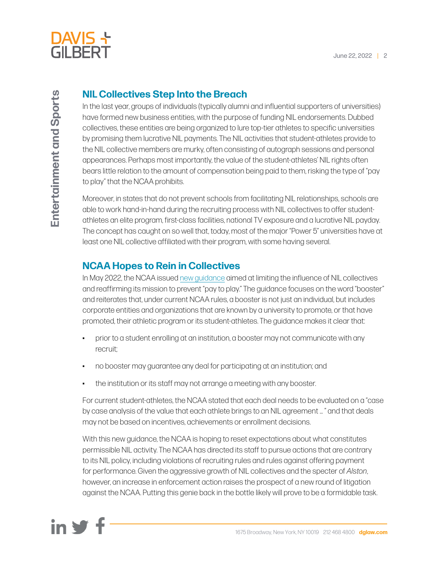

### **NIL Collectives Step Into the Breach**

In the last year, groups of individuals (typically alumni and influential supporters of universities) have formed new business entities, with the purpose of funding NIL endorsements. Dubbed collectives, these entities are being organized to lure top-tier athletes to specific universities by promising them lucrative NIL payments. The NIL activities that student-athletes provide to the NIL collective members are murky, often consisting of autograph sessions and personal appearances. Perhaps most importantly, the value of the student-athletes' NIL rights often bears little relation to the amount of compensation being paid to them, risking the type of "pay to play" that the NCAA prohibits.

Moreover, in states that do not prevent schools from facilitating NIL relationships, schools are able to work hand-in-hand during the recruiting process with NIL collectives to offer studentathletes an elite program, first-class facilities, national TV exposure and a lucrative NIL payday. The concept has caught on so well that, today, most of the major "Power 5" universities have at least one NIL collective affiliated with their program, with some having several.

## **NCAA Hopes to Rein in Collectives**

In May 2022, the NCAA issued [new guidance](https://www.ncaa.org/news/2022/5/9/media-center-di-board-of-directors-issues-name-image-and-likeness-guidance-to-schools.aspx) aimed at limiting the influence of NIL collectives and reaffirming its mission to prevent "pay to play." The guidance focuses on the word "booster" and reiterates that, under current NCAA rules, a booster is not just an individual, but includes corporate entities and organizations that are known by a university to promote, or that have promoted, their athletic program or its student-athletes. The guidance makes it clear that:

- prior to a student enrolling at an institution, a booster may not communicate with any recruit;
- no booster may guarantee any deal for participating at an institution; and
- the institution or its staff may not arrange a meeting with any booster.

For current student-athletes, the NCAA stated that each deal needs to be evaluated on a "case by case analysis of the value that each athlete brings to an NIL agreement … " and that deals may not be based on incentives, achievements or enrollment decisions.

With this new guidance, the NCAA is hoping to reset expectations about what constitutes permissible NIL activity. The NCAA has directed its staff to pursue actions that are contrary to its NIL policy, including violations of recruiting rules and rules against offering payment for performance. Given the aggressive growth of NIL collectives and the specter of *Alston*, however, an increase in enforcement action raises the prospect of a new round of litigation against the NCAA. Putting this genie back in the bottle likely will prove to be a formidable task.